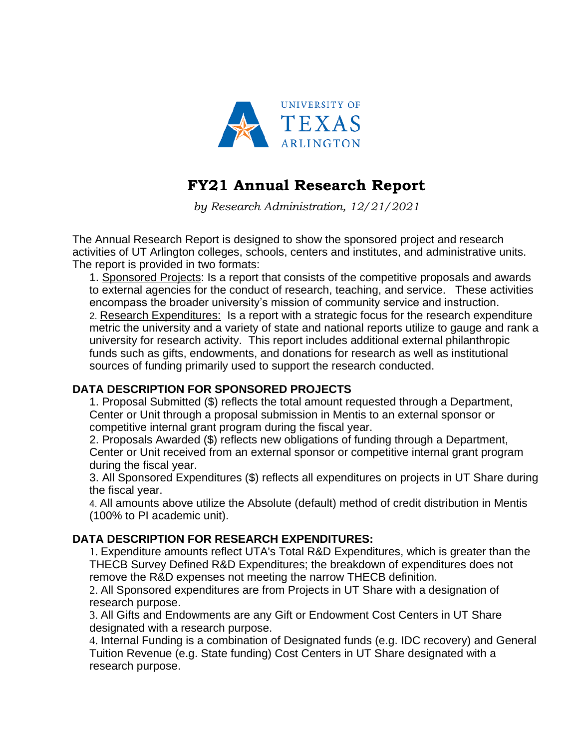

### **FY21 Annual Research Report**

*by Research Administration, 12/21/2021*

The Annual Research Report is designed to show the sponsored project and research activities of UT Arlington colleges, schools, centers and institutes, and administrative units. The report is provided in two formats:

1. Sponsored Projects: Is a report that consists of the competitive proposals and awards to external agencies for the conduct of research, teaching, and service. These activities encompass the broader university's mission of community service and instruction. 2. Research Expenditures: Is a report with a strategic focus for the research expenditure metric the university and a variety of state and national reports utilize to gauge and rank a university for research activity. This report includes additional external philanthropic funds such as gifts, endowments, and donations for research as well as institutional sources of funding primarily used to support the research conducted.

#### **DATA DESCRIPTION FOR SPONSORED PROJECTS**

1. Proposal Submitted (\$) reflects the total amount requested through a Department, Center or Unit through a proposal submission in Mentis to an external sponsor or competitive internal grant program during the fiscal year.

2. Proposals Awarded (\$) reflects new obligations of funding through a Department, Center or Unit received from an external sponsor or competitive internal grant program during the fiscal year.

3. All Sponsored Expenditures (\$) reflects all expenditures on projects in UT Share during the fiscal year.

4. All amounts above utilize the Absolute (default) method of credit distribution in Mentis (100% to PI academic unit).

#### **DATA DESCRIPTION FOR RESEARCH EXPENDITURES:**

1. Expenditure amounts reflect UTA's Total R&D Expenditures, which is greater than the THECB Survey Defined R&D Expenditures; the breakdown of expenditures does not remove the R&D expenses not meeting the narrow THECB definition.

2. All Sponsored expenditures are from Projects in UT Share with a designation of research purpose.

3. All Gifts and Endowments are any Gift or Endowment Cost Centers in UT Share designated with a research purpose.

4. Internal Funding is a combination of Designated funds (e.g. IDC recovery) and General Tuition Revenue (e.g. State funding) Cost Centers in UT Share designated with a research purpose.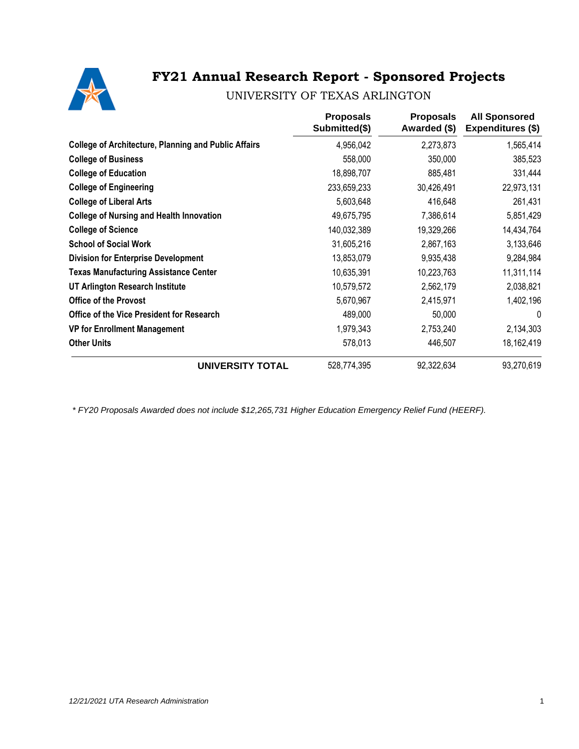

UNIVERSITY OF TEXAS ARLINGTON

|                                                             | <b>Proposals</b><br>Submitted(\$) | <b>Proposals</b><br>Awarded (\$) | <b>All Sponsored</b><br><b>Expenditures (\$)</b> |
|-------------------------------------------------------------|-----------------------------------|----------------------------------|--------------------------------------------------|
| <b>College of Architecture, Planning and Public Affairs</b> | 4,956,042                         | 2,273,873                        | 1,565,414<br>385,523                             |
| <b>College of Business</b>                                  | 558,000                           | 350,000                          |                                                  |
| <b>College of Education</b>                                 | 18,898,707                        | 885,481                          | 331,444                                          |
| <b>College of Engineering</b>                               | 233,659,233                       | 30,426,491                       | 22,973,131                                       |
| <b>College of Liberal Arts</b>                              | 5,603,648                         | 416,648                          | 261,431                                          |
| <b>College of Nursing and Health Innovation</b>             | 49,675,795                        | 7,386,614                        | 5,851,429                                        |
| <b>College of Science</b><br><b>School of Social Work</b>   | 140,032,389<br>31,605,216         | 19,329,266<br>2,867,163          | 14,434,764<br>3,133,646                          |
|                                                             |                                   |                                  |                                                  |
| <b>Texas Manufacturing Assistance Center</b>                | 10,635,391                        | 10,223,763                       | 11,311,114                                       |
| UT Arlington Research Institute                             | 10,579,572                        | 2,562,179                        | 2,038,821                                        |
| <b>Office of the Provost</b>                                | 5,670,967                         | 2,415,971                        | 1,402,196                                        |
| Office of the Vice President for Research                   | 489,000                           | 50,000                           | 0                                                |
| <b>VP for Enrollment Management</b>                         | 1,979,343                         | 2,753,240                        | 2,134,303                                        |
| <b>Other Units</b>                                          | 578,013                           | 446,507                          | 18,162,419                                       |
| UNIVERSITY TOTAL                                            | 528,774,395                       | 92,322,634                       | 93,270,619                                       |

*\* FY20 Proposals Awarded does not include \$12,265,731 Higher Education Emergency Relief Fund (HEERF).*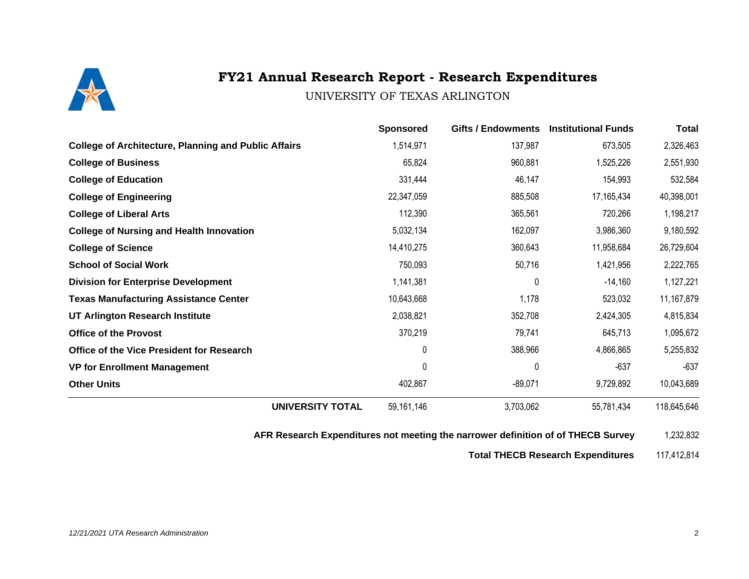# $\frac{1}{\sqrt{2}}$

#### **FY21 Annual Research Report - Research Expenditures**

UNIVERSITY OF TEXAS ARLINGTON

|                                                             |                         | <b>Sponsored</b> | <b>Gifts / Endowments</b> | <b>Institutional Funds</b> | <b>Total</b> |
|-------------------------------------------------------------|-------------------------|------------------|---------------------------|----------------------------|--------------|
| <b>College of Architecture, Planning and Public Affairs</b> |                         | 1,514,971        | 137,987                   | 673,505                    | 2,326,463    |
| <b>College of Business</b>                                  |                         | 65,824           | 960,881                   | 1,525,226                  | 2,551,930    |
| <b>College of Education</b>                                 |                         | 331,444          | 46,147                    | 154,993                    | 532,584      |
| <b>College of Engineering</b>                               |                         | 22,347,059       | 885,508                   | 17, 165, 434               | 40,398,001   |
| <b>College of Liberal Arts</b>                              |                         | 112,390          | 365,561                   | 720,266                    | 1,198,217    |
| <b>College of Nursing and Health Innovation</b>             |                         | 5,032,134        | 162,097                   | 3,986,360                  | 9,180,592    |
| <b>College of Science</b>                                   |                         | 14,410,275       | 360,643                   | 11,958,684                 | 26,729,604   |
| <b>School of Social Work</b>                                |                         | 750,093          | 50,716                    | 1,421,956                  | 2,222,765    |
| <b>Division for Enterprise Development</b>                  |                         | 1,141,381        | $\Omega$                  | $-14,160$                  | 1,127,221    |
| <b>Texas Manufacturing Assistance Center</b>                |                         | 10,643,668       | 1,178                     | 523,032                    | 11,167,879   |
| UT Arlington Research Institute                             |                         | 2,038,821        | 352,708                   | 2,424,305                  | 4,815,834    |
| <b>Office of the Provost</b>                                |                         | 370,219          | 79,741                    | 645,713                    | 1,095,672    |
| <b>Office of the Vice President for Research</b>            |                         | 0                | 388,966                   | 4,866,865                  | 5,255,832    |
| <b>VP for Enrollment Management</b>                         |                         | 0                | 0                         | $-637$                     | $-637$       |
| <b>Other Units</b>                                          |                         | 402,867          | $-89,071$                 | 9,729,892                  | 10,043,689   |
|                                                             | <b>UNIVERSITY TOTAL</b> | 59,161,146       | 3,703,062                 | 55,781,434                 | 118,645,646  |

**AFR Research Expenditures not meeting the narrower definition of of THECB Survey** 1,232,832

**Total THECB Research Expenditures** 117,412,814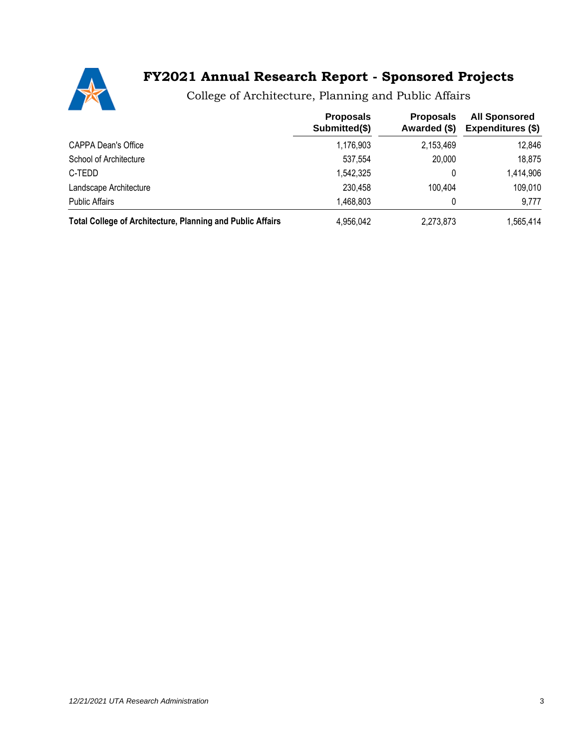

College of Architecture, Planning and Public Affairs

|                                                            | <b>Proposals</b><br>Submitted(\$) | <b>Proposals</b><br>Awarded (\$) | <b>All Sponsored</b><br>Expenditures (\$) |
|------------------------------------------------------------|-----------------------------------|----------------------------------|-------------------------------------------|
| <b>CAPPA Dean's Office</b>                                 | 1,176,903                         | 2,153,469                        | 12,846                                    |
| School of Architecture                                     | 537,554                           | 20,000                           | 18,875                                    |
| C-TEDD                                                     | 1,542,325                         |                                  | 1,414,906                                 |
| Landscape Architecture                                     | 230,458                           | 100.404                          | 109,010                                   |
| <b>Public Affairs</b>                                      | 1,468,803                         |                                  | 9,777                                     |
| Total College of Architecture, Planning and Public Affairs | 4,956,042                         | 2,273,873                        | 1,565,414                                 |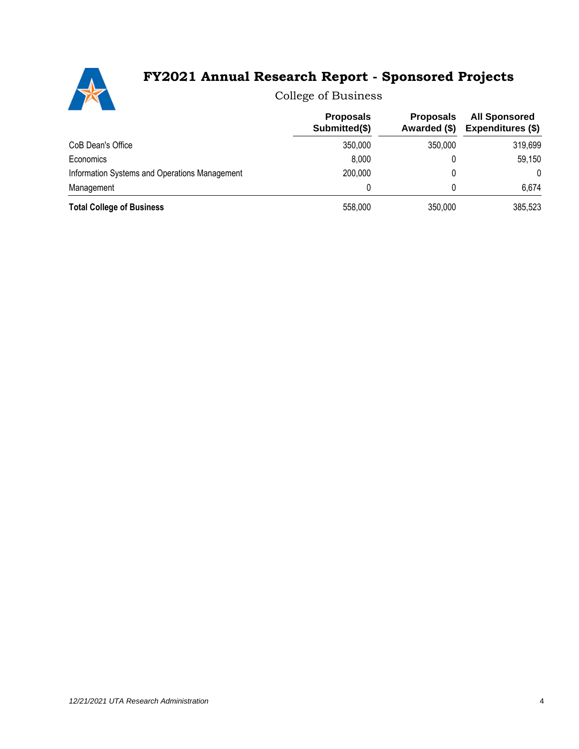

College of Business

|                                               | <b>Proposals</b><br>Submitted(\$) | <b>Proposals</b><br>Awarded (\$) | <b>All Sponsored</b><br><b>Expenditures (\$)</b> |
|-----------------------------------------------|-----------------------------------|----------------------------------|--------------------------------------------------|
| CoB Dean's Office                             | 350,000                           | 350,000                          | 319,699                                          |
| Economics                                     | 8,000                             |                                  | 59,150                                           |
| Information Systems and Operations Management | 200,000                           |                                  | 0                                                |
| Management                                    |                                   |                                  | 6,674                                            |
| <b>Total College of Business</b>              | 558,000                           | 350,000                          | 385,523                                          |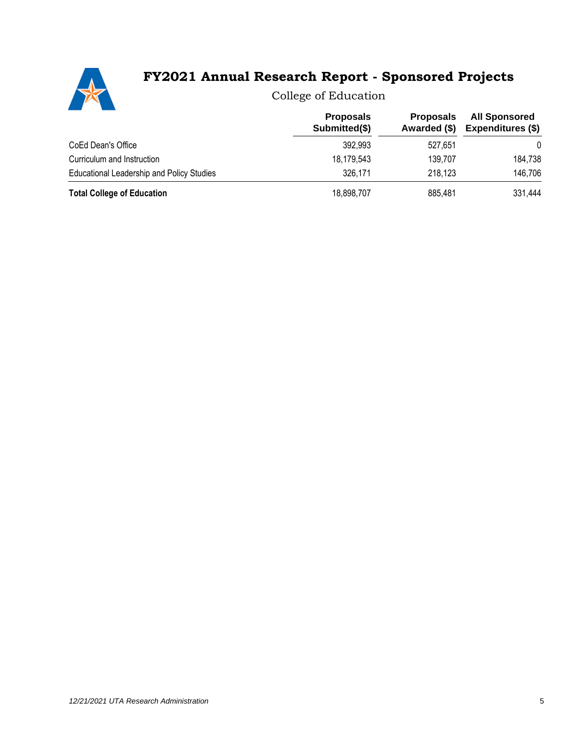

College of Education

|                                                  | <b>Proposals</b><br>Submitted(\$) | <b>Proposals</b><br>Awarded (\$) | <b>All Sponsored</b><br><b>Expenditures (\$)</b> |          |
|--------------------------------------------------|-----------------------------------|----------------------------------|--------------------------------------------------|----------|
| CoEd Dean's Office<br>Curriculum and Instruction | 392,993<br>18,179,543             | 527.651<br>139,707               |                                                  | $\Omega$ |
|                                                  |                                   |                                  | 184,738                                          |          |
| Educational Leadership and Policy Studies        | 326,171                           | 218,123                          | 146,706                                          |          |
| <b>Total College of Education</b>                | 18,898,707                        | 885,481                          | 331,444                                          |          |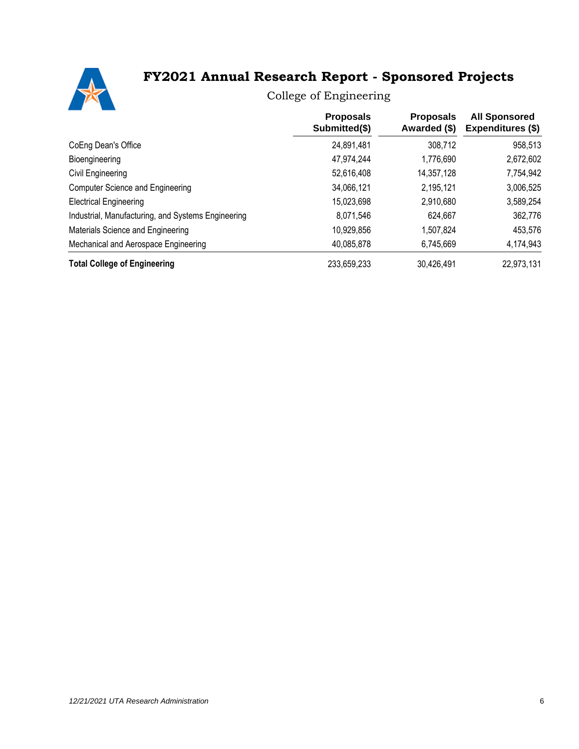

College of Engineering

|                                                                                                                 | <b>Proposals</b><br>Submitted(\$)      | <b>Proposals</b><br>Awarded (\$)                  | <b>All Sponsored</b><br>Expenditures (\$)        |                                                    |            |           |         |
|-----------------------------------------------------------------------------------------------------------------|----------------------------------------|---------------------------------------------------|--------------------------------------------------|----------------------------------------------------|------------|-----------|---------|
| CoEng Dean's Office                                                                                             | 24,891,481                             | 308,712                                           | 958,513                                          |                                                    |            |           |         |
| Bioengineering<br>Civil Engineering<br><b>Computer Science and Engineering</b><br><b>Electrical Engineering</b> | 47,974,244                             | 1,776,690<br>14,357,128<br>2,195,121<br>2,910,680 | 2,672,602<br>7,754,942<br>3,006,525<br>3,589,254 |                                                    |            |           |         |
|                                                                                                                 | 52,616,408<br>34,066,121<br>15,023,698 |                                                   |                                                  |                                                    |            |           |         |
|                                                                                                                 |                                        |                                                   |                                                  | Industrial, Manufacturing, and Systems Engineering | 8,071,546  | 624,667   | 362,776 |
|                                                                                                                 |                                        |                                                   |                                                  | Materials Science and Engineering                  | 10,929,856 | 1,507,824 | 453,576 |
| Mechanical and Aerospace Engineering                                                                            | 40,085,878                             | 6,745,669                                         | 4,174,943                                        |                                                    |            |           |         |
| <b>Total College of Engineering</b>                                                                             | 233,659,233                            | 30,426,491                                        | 22,973,131                                       |                                                    |            |           |         |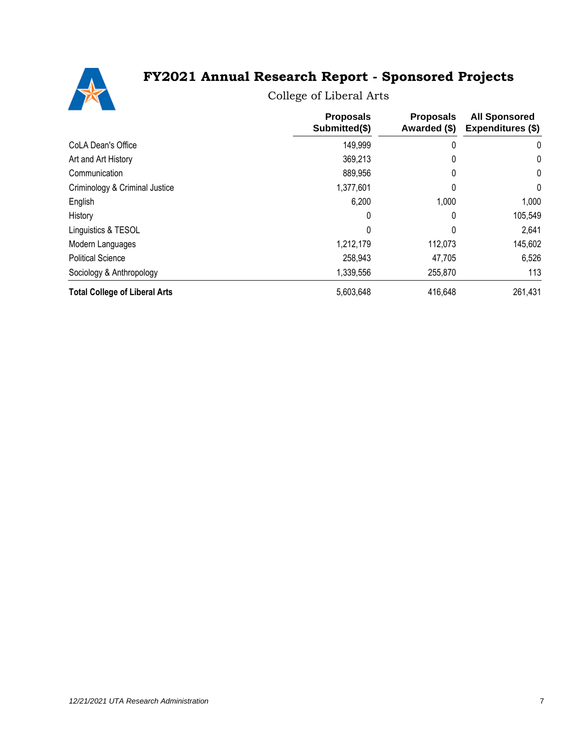

College of Liberal Arts

|                                                            | <b>Proposals</b><br>Submitted(\$) | <b>Proposals</b><br>Awarded (\$) | <b>All Sponsored</b><br>Expenditures (\$) |
|------------------------------------------------------------|-----------------------------------|----------------------------------|-------------------------------------------|
| CoLA Dean's Office                                         | 149,999                           |                                  | 0                                         |
| Art and Art History                                        | 369,213                           |                                  | 0<br>0<br>0<br>1,000                      |
| Communication<br>Criminology & Criminal Justice<br>English | 889,956<br>1,377,601<br>6,200     |                                  |                                           |
|                                                            |                                   | 1,000                            |                                           |
|                                                            |                                   |                                  |                                           |
| Linguistics & TESOL                                        | 0                                 |                                  | 2,641                                     |
| Modern Languages                                           | 1,212,179                         | 112,073                          | 145,602                                   |
| <b>Political Science</b>                                   | 258,943                           | 47,705                           | 6,526                                     |
| Sociology & Anthropology                                   | 1,339,556                         | 255,870                          | 113                                       |
| <b>Total College of Liberal Arts</b>                       | 5,603,648                         | 416,648                          | 261,431                                   |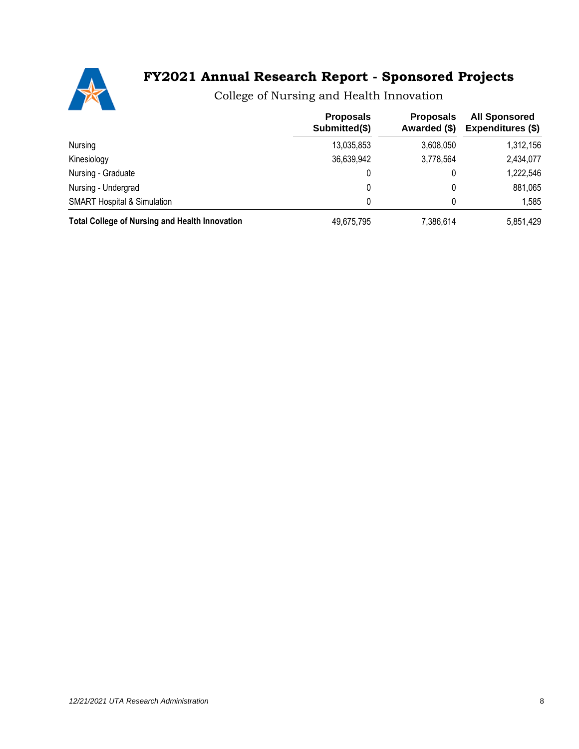

College of Nursing and Health Innovation

|                                                       | <b>Proposals</b><br>Submitted(\$) | <b>Proposals</b><br>Awarded (\$) | <b>All Sponsored</b><br><b>Expenditures (\$)</b> |
|-------------------------------------------------------|-----------------------------------|----------------------------------|--------------------------------------------------|
| Nursing                                               | 13,035,853                        | 3,608,050                        | 1,312,156                                        |
| Kinesiology                                           | 36,639,942                        | 3,778,564                        | 2,434,077                                        |
| Nursing - Graduate                                    | 0                                 |                                  | 1,222,546                                        |
| Nursing - Undergrad                                   | 0                                 |                                  | 881,065                                          |
| <b>SMART Hospital &amp; Simulation</b>                | 0                                 |                                  | 1,585                                            |
| <b>Total College of Nursing and Health Innovation</b> | 49,675,795                        | 7,386,614                        | 5,851,429                                        |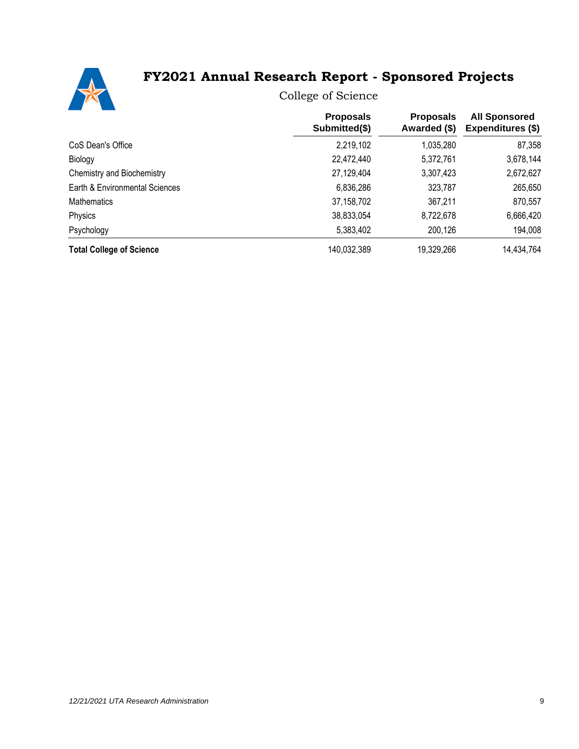

College of Science

|                                                                         | <b>Proposals</b><br>Submitted(\$)     | <b>Proposals</b><br>Awarded (\$)  | <b>All Sponsored</b><br><b>Expenditures (\$)</b> |                    |            |           |           |
|-------------------------------------------------------------------------|---------------------------------------|-----------------------------------|--------------------------------------------------|--------------------|------------|-----------|-----------|
| CoS Dean's Office                                                       | 2,219,102                             | 1,035,280                         | 87,358                                           |                    |            |           |           |
| Biology<br>Chemistry and Biochemistry<br>Earth & Environmental Sciences | 22,472,440<br>27,129,404<br>6,836,286 | 5,372,761<br>3,307,423<br>323,787 | 3,678,144<br>2,672,627<br>265,650                |                    |            |           |           |
|                                                                         |                                       |                                   |                                                  | <b>Mathematics</b> | 37,158,702 | 367,211   | 870,557   |
|                                                                         |                                       |                                   |                                                  | Physics            | 38,833,054 | 8,722,678 | 6,666,420 |
| Psychology                                                              | 5,383,402                             | 200,126                           | 194,008                                          |                    |            |           |           |
| <b>Total College of Science</b>                                         | 140,032,389                           | 19,329,266                        | 14,434,764                                       |                    |            |           |           |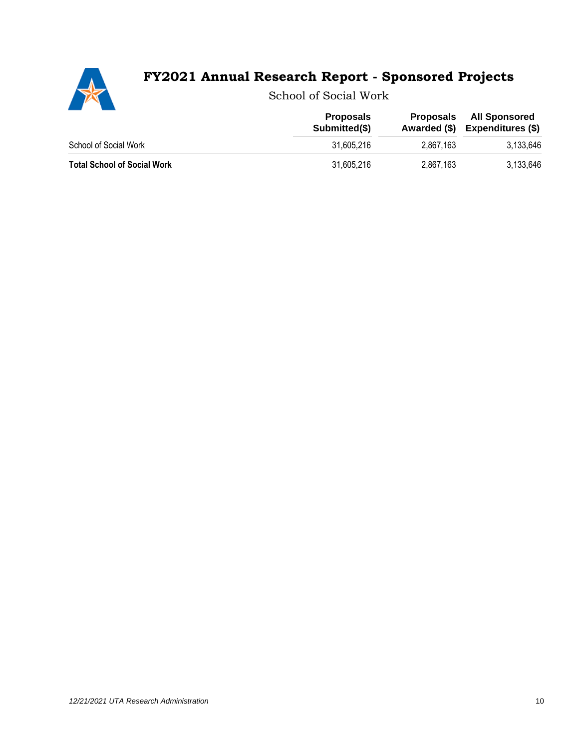

School of Social Work

|                                    | <b>Proposals</b><br>Submitted(\$) | <b>Proposals</b><br>Awarded (\$) | <b>All Sponsored</b><br><b>Expenditures (\$)</b> |  |
|------------------------------------|-----------------------------------|----------------------------------|--------------------------------------------------|--|
| School of Social Work              | 31.605.216                        | 2.867.163                        | 3.133.646                                        |  |
| <b>Total School of Social Work</b> | 31,605,216                        | 2,867,163                        | 3.133.646                                        |  |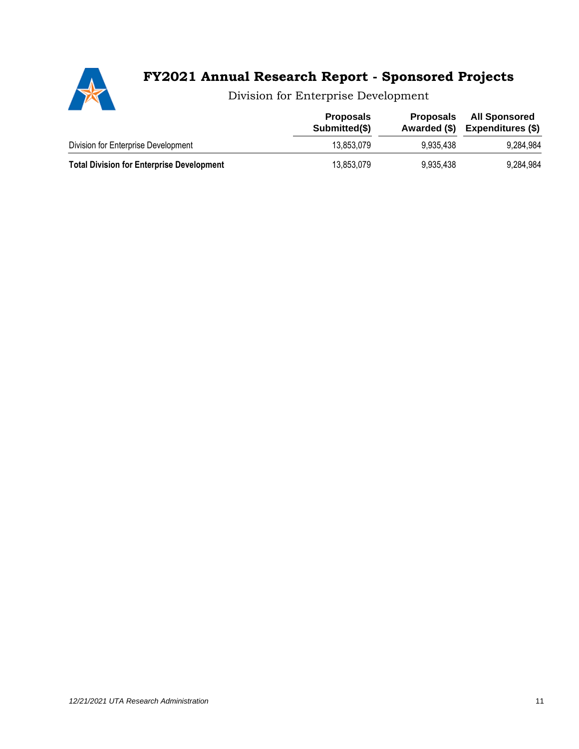

Division for Enterprise Development

|                                                  | <b>Proposals</b><br>Submitted(\$) | <b>Proposals</b><br>Awarded (\$) | <b>All Sponsored</b><br><b>Expenditures (\$)</b> |
|--------------------------------------------------|-----------------------------------|----------------------------------|--------------------------------------------------|
| Division for Enterprise Development              | 13.853.079                        | 9.935.438                        | 9.284.984                                        |
| <b>Total Division for Enterprise Development</b> | 13.853.079                        | 9,935,438                        | 9.284.984                                        |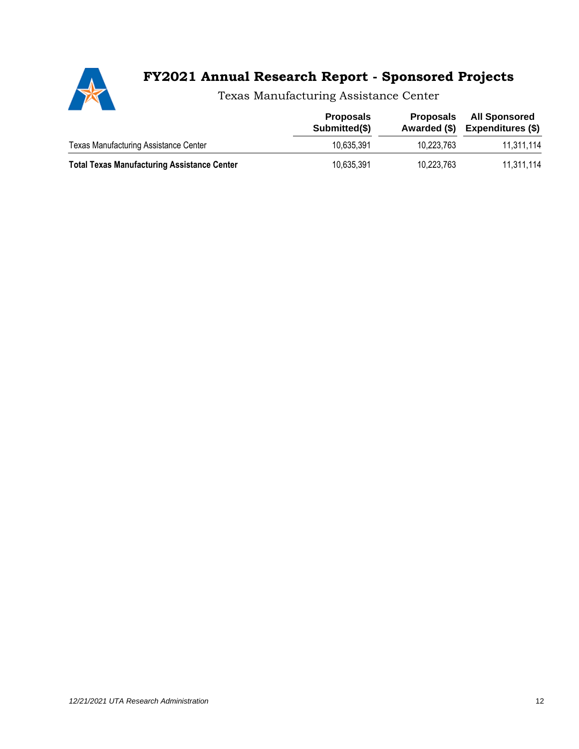

Texas Manufacturing Assistance Center

|                                                    | <b>Proposals</b><br>Submitted(\$) | <b>Proposals</b><br>Awarded (\$) | <b>All Sponsored</b><br><b>Expenditures (\$)</b> |
|----------------------------------------------------|-----------------------------------|----------------------------------|--------------------------------------------------|
| <b>Texas Manufacturing Assistance Center</b>       | 10.635.391                        | 10.223.763                       | 11,311,114                                       |
| <b>Total Texas Manufacturing Assistance Center</b> | 10,635,391                        | 10,223,763                       | 11,311,114                                       |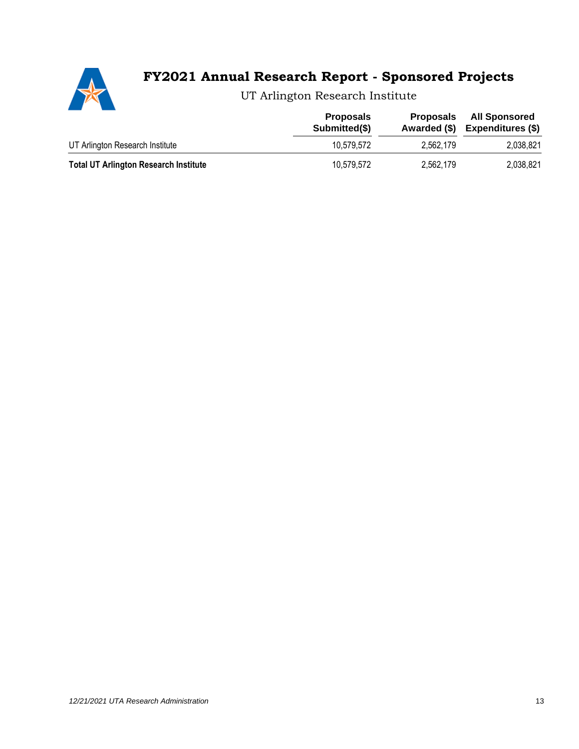

UT Arlington Research Institute

|                                              | <b>Proposals</b><br>Submitted(\$) | Proposals<br>Awarded (\$) | <b>All Sponsored</b><br>Expenditures (\$) |  |
|----------------------------------------------|-----------------------------------|---------------------------|-------------------------------------------|--|
| UT Arlington Research Institute              | 10.579.572                        | 2.562.179                 | 2,038,821                                 |  |
| <b>Total UT Arlington Research Institute</b> | 10.579.572                        | 2,562,179                 | 2,038,821                                 |  |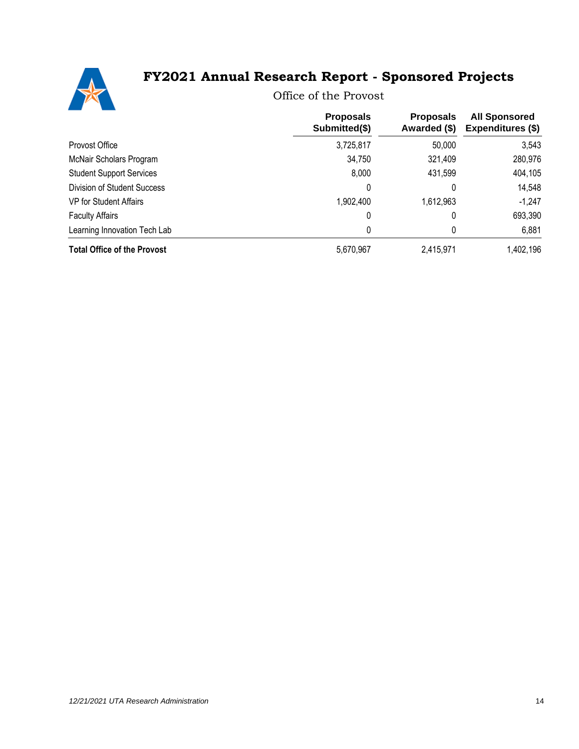

Office of the Provost

|                                                                | <b>Proposals</b><br>Submitted(\$) | <b>Proposals</b><br>Awarded (\$) | <b>All Sponsored</b><br><b>Expenditures (\$)</b> |  |
|----------------------------------------------------------------|-----------------------------------|----------------------------------|--------------------------------------------------|--|
| Provost Office                                                 | 3,725,817                         | 50,000                           | 3,543                                            |  |
| McNair Scholars Program                                        | 34,750                            | 321,409                          | 280,976                                          |  |
| <b>Student Support Services</b><br>Division of Student Success | 8,000                             | 431,599                          | 404,105                                          |  |
|                                                                | 0                                 | 0                                | 14,548                                           |  |
| VP for Student Affairs                                         | 1,902,400                         | 1,612,963                        | $-1,247$                                         |  |
| <b>Faculty Affairs</b>                                         | 0                                 | 0                                | 693,390                                          |  |
| Learning Innovation Tech Lab                                   | 0                                 | 0                                | 6,881                                            |  |
| <b>Total Office of the Provost</b>                             | 5,670,967                         | 2,415,971                        | 1,402,196                                        |  |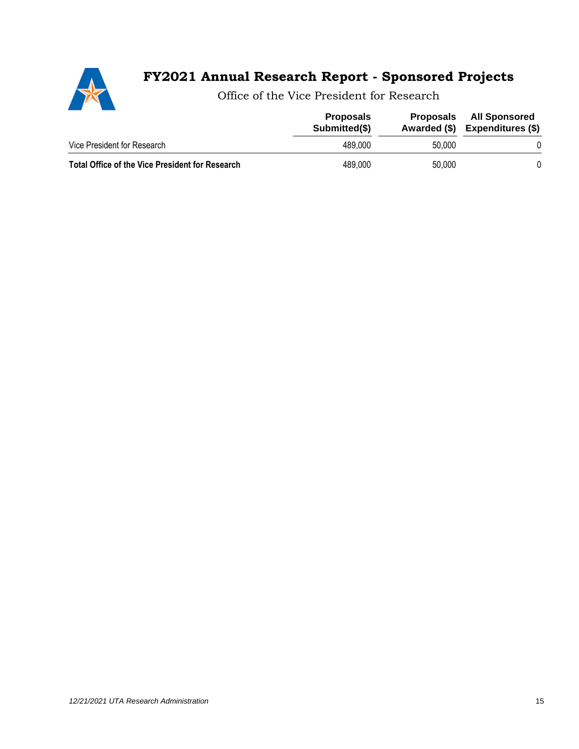

Office of the Vice President for Research

|                                                 | <b>Proposals</b><br>Submitted(\$) | <b>Proposals</b> | <b>All Sponsored</b><br>Awarded (\$) Expenditures (\$) |  |
|-------------------------------------------------|-----------------------------------|------------------|--------------------------------------------------------|--|
| Vice President for Research                     | 489.000                           | 50,000           |                                                        |  |
| Total Office of the Vice President for Research | 489,000                           | 50,000           |                                                        |  |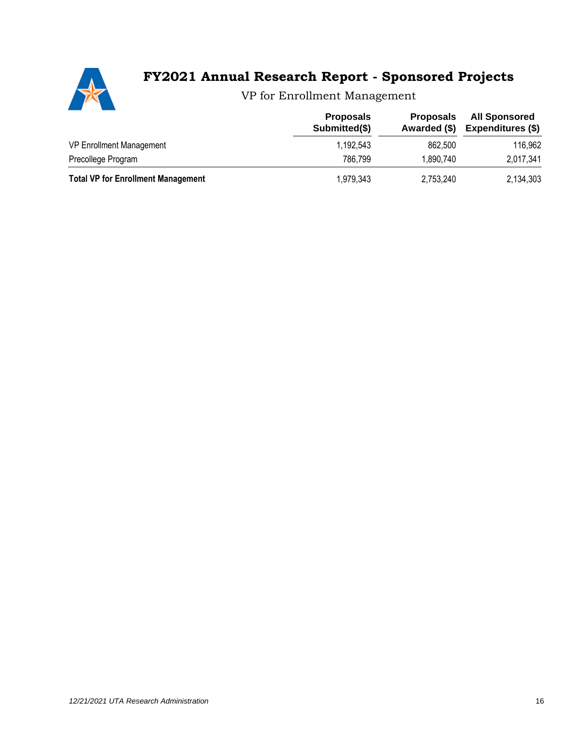

VP for Enrollment Management

|                                           | <b>Proposals</b><br>Submitted(\$) | <b>Proposals</b><br>Awarded (\$) | <b>All Sponsored</b><br><b>Expenditures (\$)</b> |  |
|-------------------------------------------|-----------------------------------|----------------------------------|--------------------------------------------------|--|
| VP Enrollment Management                  | 1.192.543                         | 862.500                          | 116,962                                          |  |
| Precollege Program                        | 786.799                           | 1,890,740                        | 2,017,341                                        |  |
| <b>Total VP for Enrollment Management</b> | 1,979,343                         | 2,753,240                        | 2,134,303                                        |  |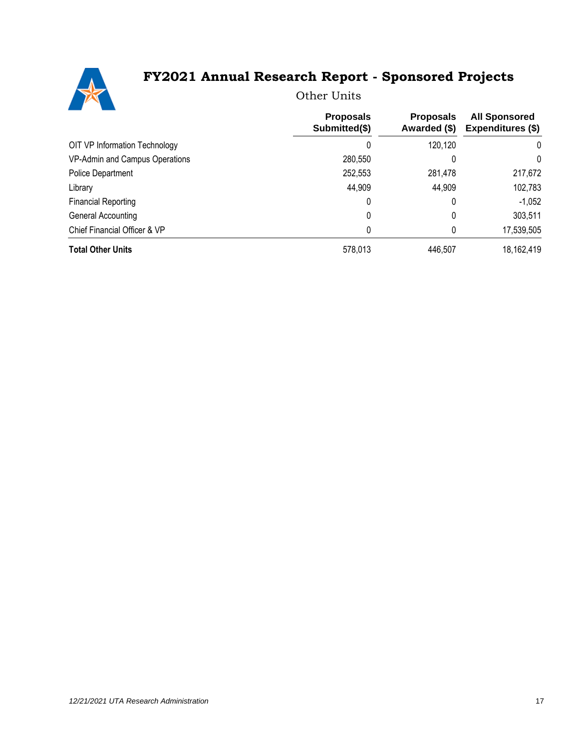

Other Units

|                                | <b>Proposals</b><br>Submitted(\$) | <b>Proposals</b><br>Awarded (\$) | <b>All Sponsored</b><br>Expenditures (\$) |
|--------------------------------|-----------------------------------|----------------------------------|-------------------------------------------|
| OIT VP Information Technology  | 0                                 | 120,120                          | 0                                         |
| VP-Admin and Campus Operations | 280,550                           |                                  | 0                                         |
| Police Department              | 252,553                           | 281,478                          | 217,672                                   |
| Library                        | 44,909                            | 44,909                           | 102,783                                   |
| <b>Financial Reporting</b>     | 0                                 |                                  | $-1,052$                                  |
| General Accounting             | 0                                 |                                  | 303,511                                   |
| Chief Financial Officer & VP   | 0                                 |                                  | 17,539,505                                |
| <b>Total Other Units</b>       | 578,013                           | 446,507                          | 18,162,419                                |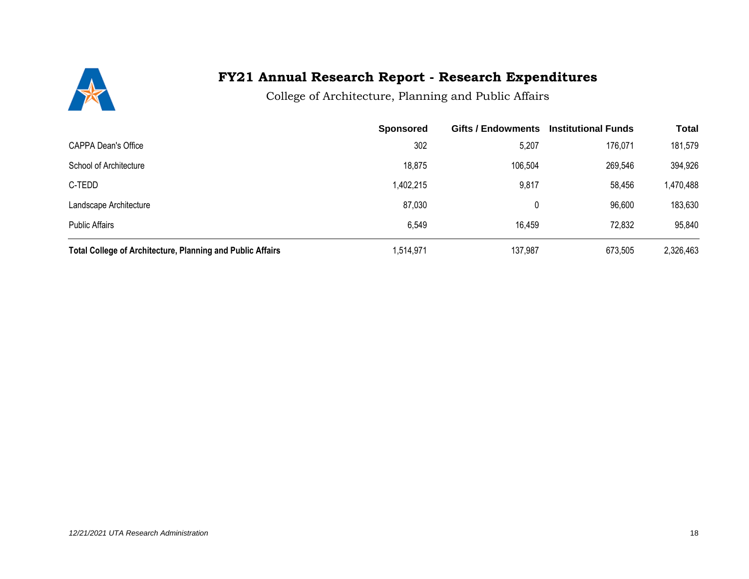

College of Architecture, Planning and Public Affairs

|                                                                   | <b>Sponsored</b> | Gifts / Endowments | <b>Institutional Funds</b> | <b>Total</b> |
|-------------------------------------------------------------------|------------------|--------------------|----------------------------|--------------|
| <b>CAPPA Dean's Office</b>                                        | 302              | 5,207              | 176,071                    | 181,579      |
| School of Architecture                                            | 18,875           | 106,504            | 269,546                    | 394,926      |
| C-TEDD                                                            | 1,402,215        | 9,817              | 58,456                     | 1,470,488    |
| Landscape Architecture                                            | 87,030           | 0                  | 96,600                     | 183,630      |
| <b>Public Affairs</b>                                             | 6,549            | 16,459             | 72,832                     | 95,840       |
| <b>Total College of Architecture, Planning and Public Affairs</b> | 1,514,971        | 137,987            | 673,505                    | 2,326,463    |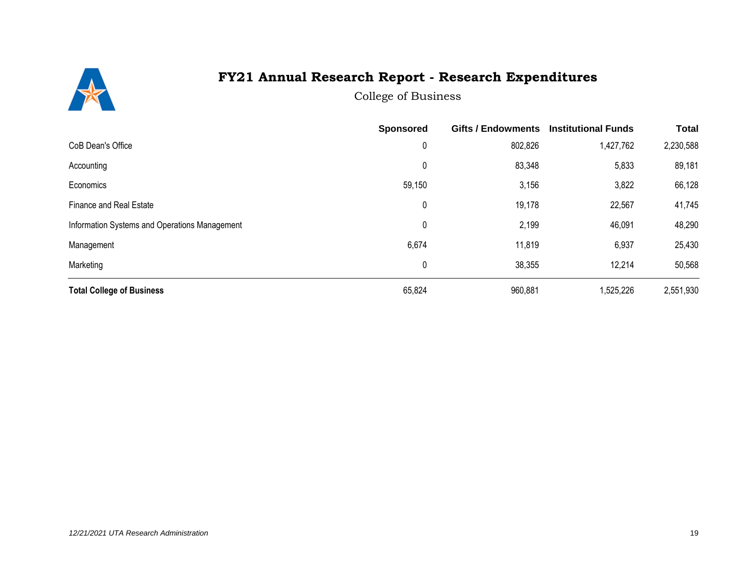

College of Business

|                                               | <b>Sponsored</b> | <b>Gifts / Endowments</b> | <b>Institutional Funds</b> | <b>Total</b> |
|-----------------------------------------------|------------------|---------------------------|----------------------------|--------------|
| CoB Dean's Office                             | 0                | 802,826                   | 1,427,762                  | 2,230,588    |
| Accounting                                    | 0                | 83,348                    | 5,833                      | 89,181       |
| Economics                                     | 59,150           | 3,156                     | 3,822                      | 66,128       |
| <b>Finance and Real Estate</b>                | $\pmb{0}$        | 19,178                    | 22,567                     | 41,745       |
| Information Systems and Operations Management | 0                | 2,199                     | 46,091                     | 48,290       |
| Management                                    | 6,674            | 11,819                    | 6,937                      | 25,430       |
| Marketing                                     | 0                | 38,355                    | 12,214                     | 50,568       |
| <b>Total College of Business</b>              | 65,824           | 960,881                   | 1,525,226                  | 2,551,930    |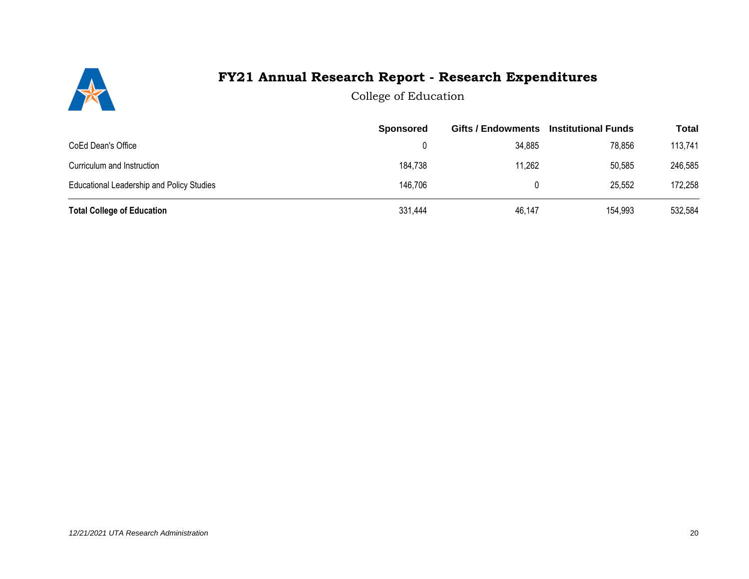

College of Education

|                                           | <b>Sponsored</b> | <b>Gifts / Endowments</b> | <b>Institutional Funds</b> | <b>Total</b> |
|-------------------------------------------|------------------|---------------------------|----------------------------|--------------|
| CoEd Dean's Office                        | 0                | 34,885                    | 78,856                     | 113,741      |
| Curriculum and Instruction                | 184,738          | 11,262                    | 50,585                     | 246,585      |
| Educational Leadership and Policy Studies | 146,706          | 0                         | 25,552                     | 172,258      |
| <b>Total College of Education</b>         | 331,444          | 46,147                    | 154,993                    | 532,584      |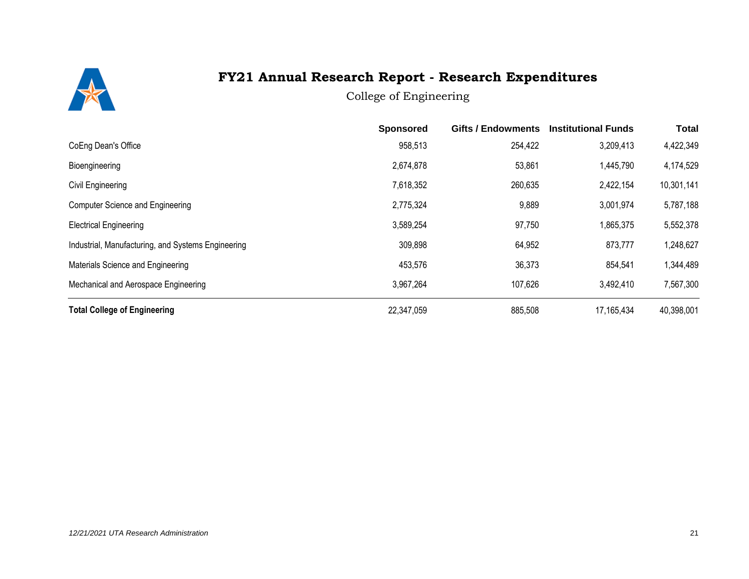

College of Engineering

|                                                    | <b>Sponsored</b> | <b>Gifts / Endowments</b> | <b>Institutional Funds</b> | <b>Total</b> |
|----------------------------------------------------|------------------|---------------------------|----------------------------|--------------|
| CoEng Dean's Office                                | 958,513          | 254,422                   | 3,209,413                  | 4,422,349    |
| Bioengineering                                     | 2,674,878        | 53,861                    | 1,445,790                  | 4,174,529    |
| Civil Engineering                                  | 7,618,352        | 260,635                   | 2,422,154                  | 10,301,141   |
| <b>Computer Science and Engineering</b>            | 2,775,324        | 9,889                     | 3,001,974                  | 5,787,188    |
| <b>Electrical Engineering</b>                      | 3,589,254        | 97,750                    | 1,865,375                  | 5,552,378    |
| Industrial, Manufacturing, and Systems Engineering | 309,898          | 64,952                    | 873,777                    | 1,248,627    |
| Materials Science and Engineering                  | 453,576          | 36,373                    | 854,541                    | 1,344,489    |
| Mechanical and Aerospace Engineering               | 3,967,264        | 107,626                   | 3,492,410                  | 7,567,300    |
| <b>Total College of Engineering</b>                | 22,347,059       | 885,508                   | 17, 165, 434               | 40,398,001   |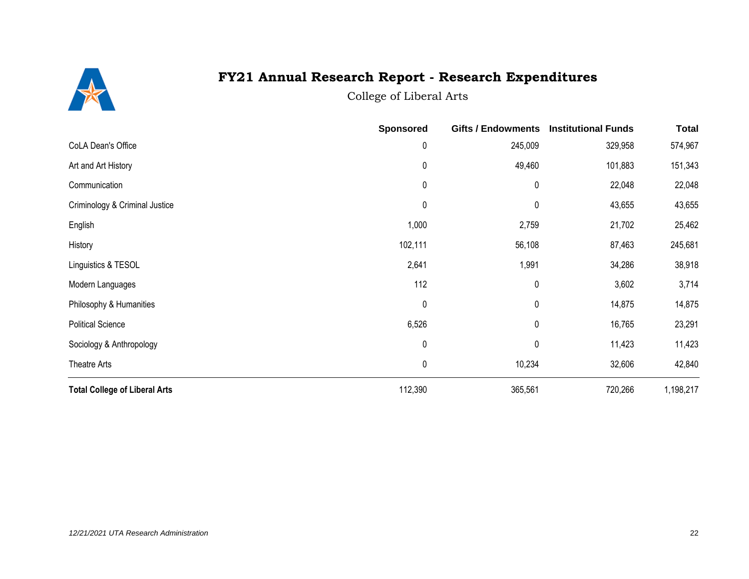

College of Liberal Arts

|                                      | <b>Sponsored</b> | <b>Gifts / Endowments</b> | <b>Institutional Funds</b> | <b>Total</b> |
|--------------------------------------|------------------|---------------------------|----------------------------|--------------|
| CoLA Dean's Office                   | $\pmb{0}$        | 245,009                   | 329,958                    | 574,967      |
| Art and Art History                  | $\pmb{0}$        | 49,460                    | 101,883                    | 151,343      |
| Communication                        | $\pmb{0}$        | $\mathbf 0$               | 22,048                     | 22,048       |
| Criminology & Criminal Justice       | $\pmb{0}$        | 0                         | 43,655                     | 43,655       |
| English                              | 1,000            | 2,759                     | 21,702                     | 25,462       |
| History                              | 102,111          | 56,108                    | 87,463                     | 245,681      |
| Linguistics & TESOL                  | 2,641            | 1,991                     | 34,286                     | 38,918       |
| Modern Languages                     | 112              | $\pmb{0}$                 | 3,602                      | 3,714        |
| Philosophy & Humanities              | $\mathbf 0$      | $\mathbf 0$               | 14,875                     | 14,875       |
| <b>Political Science</b>             | 6,526            | $\mathbf 0$               | 16,765                     | 23,291       |
| Sociology & Anthropology             | $\pmb{0}$        | 0                         | 11,423                     | 11,423       |
| Theatre Arts                         | $\pmb{0}$        | 10,234                    | 32,606                     | 42,840       |
| <b>Total College of Liberal Arts</b> | 112,390          | 365,561                   | 720,266                    | 1,198,217    |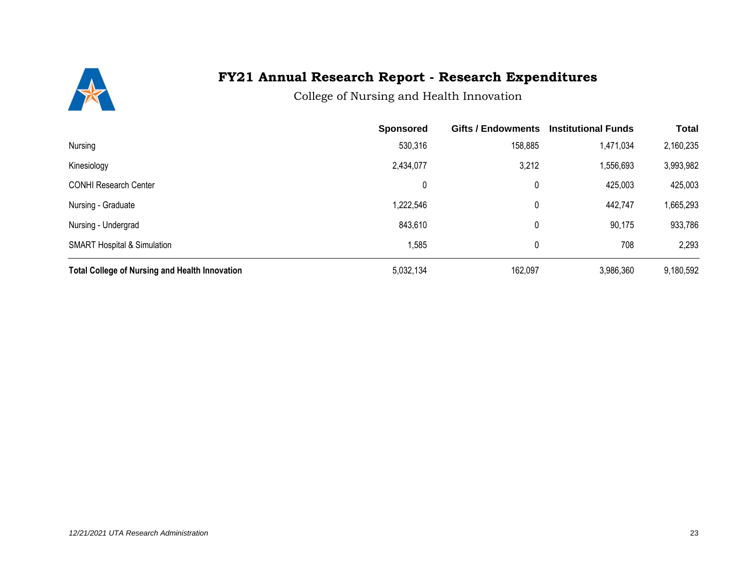

College of Nursing and Health Innovation

|                                                       | <b>Sponsored</b> | <b>Gifts / Endowments</b> | <b>Institutional Funds</b> | <b>Total</b> |
|-------------------------------------------------------|------------------|---------------------------|----------------------------|--------------|
| Nursing                                               | 530,316          | 158,885                   | 1,471,034                  | 2,160,235    |
| Kinesiology                                           | 2,434,077        | 3,212                     | 1,556,693                  | 3,993,982    |
| <b>CONHI Research Center</b>                          | 0                | 0                         | 425,003                    | 425,003      |
| Nursing - Graduate                                    | 1,222,546        | 0                         | 442,747                    | 1,665,293    |
| Nursing - Undergrad                                   | 843,610          | 0                         | 90,175                     | 933,786      |
| <b>SMART Hospital &amp; Simulation</b>                | 1,585            | 0                         | 708                        | 2,293        |
| <b>Total College of Nursing and Health Innovation</b> | 5,032,134        | 162,097                   | 3,986,360                  | 9,180,592    |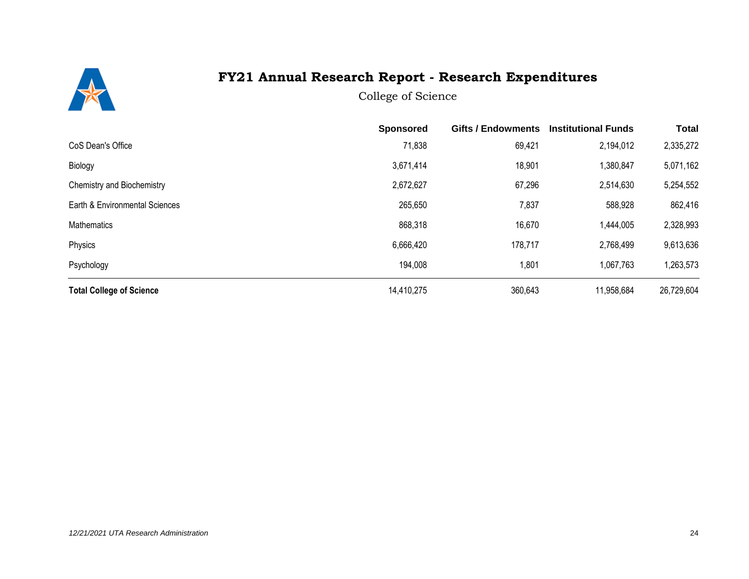

College of Science

|                                 | <b>Sponsored</b> | <b>Gifts / Endowments</b> | <b>Institutional Funds</b> | <b>Total</b> |
|---------------------------------|------------------|---------------------------|----------------------------|--------------|
| CoS Dean's Office               | 71,838           | 69,421                    | 2,194,012                  | 2,335,272    |
| Biology                         | 3,671,414        | 18,901                    | 1,380,847                  | 5,071,162    |
| Chemistry and Biochemistry      | 2,672,627        | 67,296                    | 2,514,630                  | 5,254,552    |
| Earth & Environmental Sciences  | 265,650          | 7,837                     | 588,928                    | 862,416      |
| <b>Mathematics</b>              | 868,318          | 16,670                    | 1,444,005                  | 2,328,993    |
| Physics                         | 6,666,420        | 178,717                   | 2,768,499                  | 9,613,636    |
| Psychology                      | 194,008          | 1,801                     | 1,067,763                  | 1,263,573    |
| <b>Total College of Science</b> | 14,410,275       | 360,643                   | 11,958,684                 | 26,729,604   |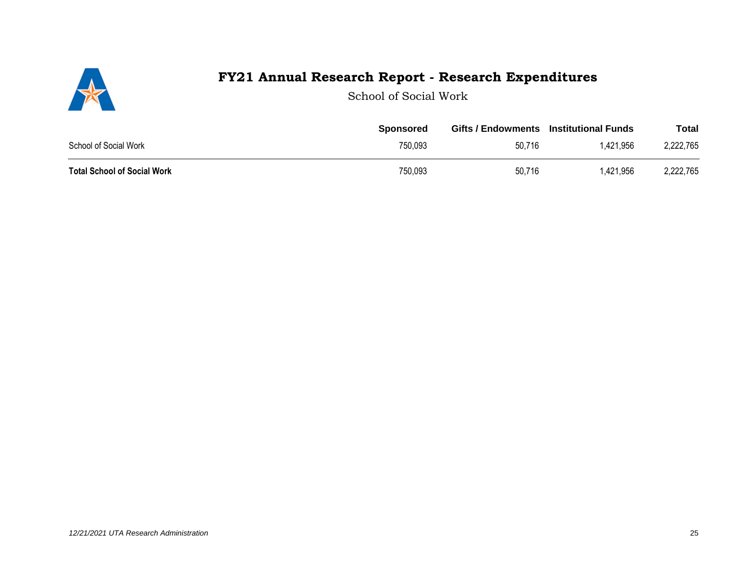

School of Social Work

|                                    | <b>Sponsored</b> | <b>Gifts / Endowments</b> | Institutional Funds | <b>Total</b> |
|------------------------------------|------------------|---------------------------|---------------------|--------------|
| School of Social Work              | 750,093          | 50,716                    | 1,421,956           | 2,222,765    |
| <b>Total School of Social Work</b> | 750,093          | 50,716                    | 1,421,956           | 2,222,765    |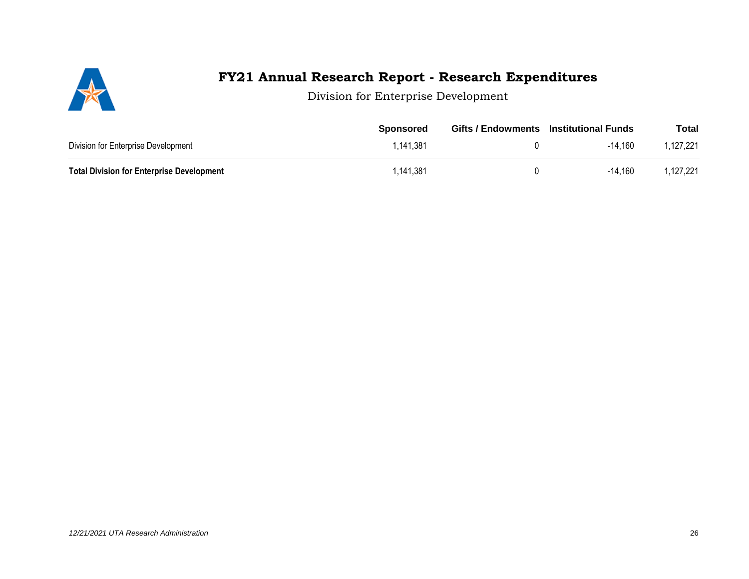# 

#### **FY21 Annual Research Report - Research Expenditures**

Division for Enterprise Development

|                                                  | <b>Sponsored</b> | <b>Gifts / Endowments</b> Institutional Funds |         | <b>Total</b> |
|--------------------------------------------------|------------------|-----------------------------------------------|---------|--------------|
| Division for Enterprise Development              | 1.141.381        |                                               | -14.160 | 1,127,221    |
| <b>Total Division for Enterprise Development</b> | 1,141,381        |                                               | -14.160 | 1.127.221    |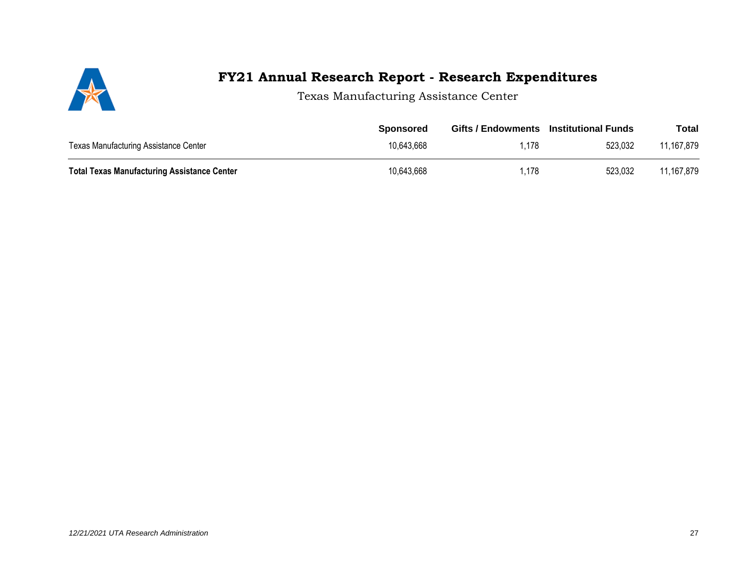

Texas Manufacturing Assistance Center

|                                                    | <b>Sponsored</b> | <b>Gifts / Endowments</b> Institutional Funds |         | <b>Total</b> |
|----------------------------------------------------|------------------|-----------------------------------------------|---------|--------------|
| Texas Manufacturing Assistance Center              | 10,643,668       | '.178                                         | 523,032 | 11,167,879   |
| <b>Total Texas Manufacturing Assistance Center</b> | 10,643,668       | ∣.178                                         | 523,032 | 11.167.879   |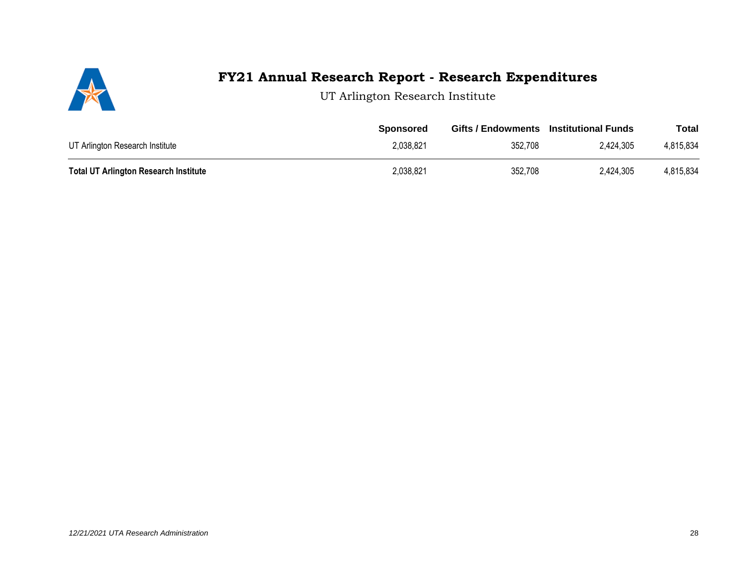# 

## **FY21 Annual Research Report - Research Expenditures**

UT Arlington Research Institute

|                                              | <b>Sponsored</b> | Gifts / Endowments Institutional Funds |           | <b>Total</b> |
|----------------------------------------------|------------------|----------------------------------------|-----------|--------------|
| UT Arlington Research Institute              | 2,038,821        | 352,708                                | 2,424,305 | 4,815,834    |
| <b>Total UT Arlington Research Institute</b> | 2,038,821        | 352,708                                | 2,424,305 | 4,815,834    |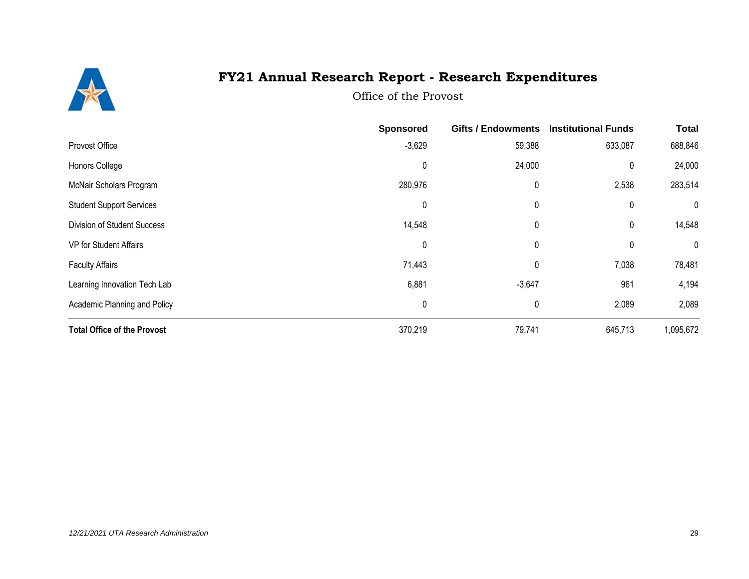

Office of the Provost

|                                    | <b>Sponsored</b> | <b>Gifts / Endowments</b> | <b>Institutional Funds</b> | <b>Total</b> |
|------------------------------------|------------------|---------------------------|----------------------------|--------------|
| Provost Office                     | $-3,629$         | 59,388                    | 633,087                    | 688,846      |
| Honors College                     | 0                | 24,000                    | 0                          | 24,000       |
| McNair Scholars Program            | 280,976          | 0                         | 2,538                      | 283,514      |
| <b>Student Support Services</b>    | $\boldsymbol{0}$ | 0                         | 0                          | 0            |
| Division of Student Success        | 14,548           | 0                         | 0                          | 14,548       |
| VP for Student Affairs             | 0                | 0                         | 0                          | 0            |
| <b>Faculty Affairs</b>             | 71,443           | $\Omega$                  | 7,038                      | 78,481       |
| Learning Innovation Tech Lab       | 6,881            | $-3,647$                  | 961                        | 4,194        |
| Academic Planning and Policy       | 0                | 0                         | 2,089                      | 2,089        |
| <b>Total Office of the Provost</b> | 370,219          | 79,741                    | 645,713                    | 1,095,672    |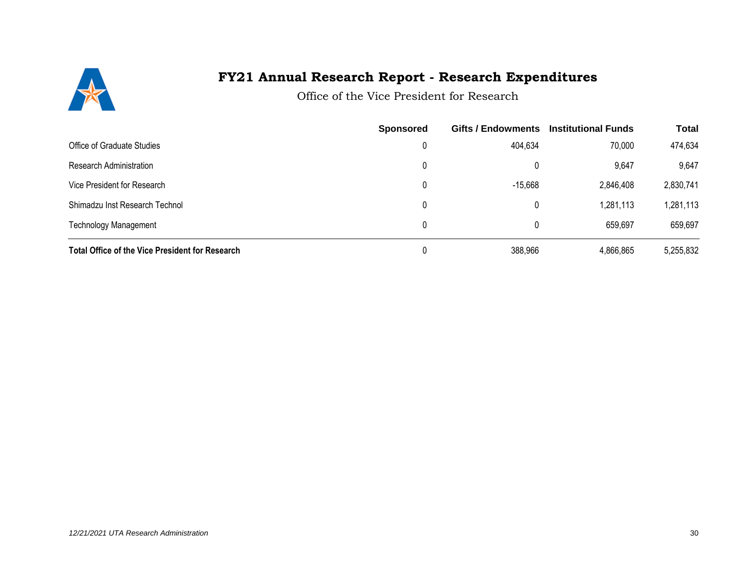

Office of the Vice President for Research

|                                                        | <b>Sponsored</b> | Gifts / Endowments | <b>Institutional Funds</b> | <b>Total</b> |
|--------------------------------------------------------|------------------|--------------------|----------------------------|--------------|
| Office of Graduate Studies                             | 0                | 404,634            | 70,000                     | 474,634      |
| Research Administration                                | 0                |                    | 9,647                      | 9,647        |
| Vice President for Research                            | 0                | $-15,668$          | 2,846,408                  | 2,830,741    |
| Shimadzu Inst Research Technol                         | 0                |                    | 1,281,113                  | 1,281,113    |
| <b>Technology Management</b>                           | 0                | 0                  | 659,697                    | 659,697      |
| <b>Total Office of the Vice President for Research</b> | 0                | 388,966            | 4,866,865                  | 5,255,832    |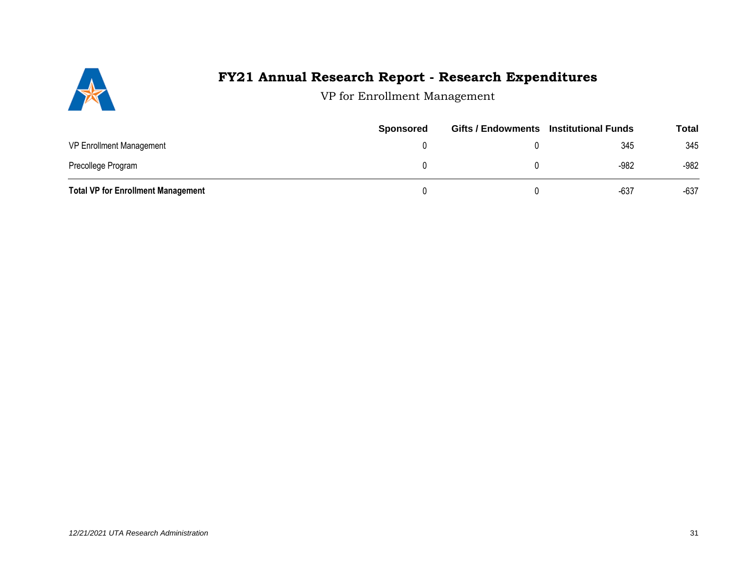

VP for Enrollment Management

|                                           | <b>Sponsored</b> | Gifts / Endowments Institutional Funds |        | <b>Total</b> |
|-------------------------------------------|------------------|----------------------------------------|--------|--------------|
| <b>VP Enrollment Management</b>           |                  |                                        | 345    | 345          |
| Precollege Program                        |                  |                                        | $-982$ | $-982$       |
| <b>Total VP for Enrollment Management</b> |                  |                                        | $-637$ | $-637$       |